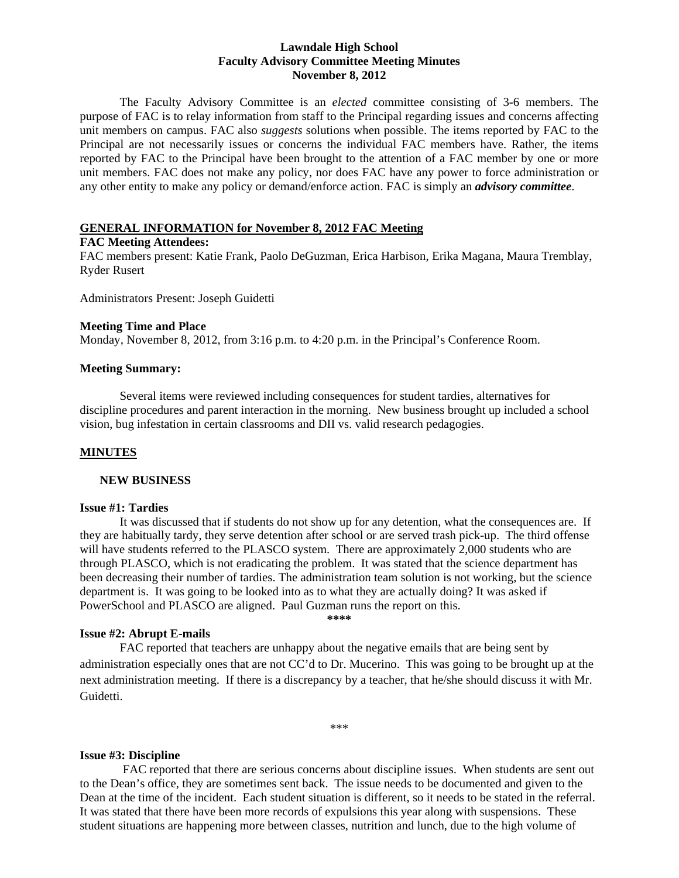### **Lawndale High School Faculty Advisory Committee Meeting Minutes November 8, 2012**

The Faculty Advisory Committee is an *elected* committee consisting of 3-6 members. The purpose of FAC is to relay information from staff to the Principal regarding issues and concerns affecting unit members on campus. FAC also *suggests* solutions when possible. The items reported by FAC to the Principal are not necessarily issues or concerns the individual FAC members have. Rather, the items reported by FAC to the Principal have been brought to the attention of a FAC member by one or more unit members. FAC does not make any policy, nor does FAC have any power to force administration or any other entity to make any policy or demand/enforce action. FAC is simply an *advisory committee*.

### **GENERAL INFORMATION for November 8, 2012 FAC Meeting**

### **FAC Meeting Attendees:**

FAC members present: Katie Frank, Paolo DeGuzman, Erica Harbison, Erika Magana, Maura Tremblay, Ryder Rusert

Administrators Present: Joseph Guidetti

### **Meeting Time and Place**

Monday, November 8, 2012, from 3:16 p.m. to 4:20 p.m. in the Principal's Conference Room.

### **Meeting Summary:**

Several items were reviewed including consequences for student tardies, alternatives for discipline procedures and parent interaction in the morning. New business brought up included a school vision, bug infestation in certain classrooms and DII vs. valid research pedagogies.

## **MINUTES**

### **NEW BUSINESS**

### **Issue #1: Tardies**

It was discussed that if students do not show up for any detention, what the consequences are. If they are habitually tardy, they serve detention after school or are served trash pick-up. The third offense will have students referred to the PLASCO system. There are approximately 2,000 students who are through PLASCO, which is not eradicating the problem. It was stated that the science department has been decreasing their number of tardies. The administration team solution is not working, but the science department is. It was going to be looked into as to what they are actually doing? It was asked if PowerSchool and PLASCO are aligned. Paul Guzman runs the report on this.

**\*\*\*\*** 

## **Issue #2: Abrupt E-mails**

 FAC reported that teachers are unhappy about the negative emails that are being sent by administration especially ones that are not CC'd to Dr. Mucerino. This was going to be brought up at the next administration meeting. If there is a discrepancy by a teacher, that he/she should discuss it with Mr. Guidetti.

\*\*\*

## **Issue #3: Discipline**

 FAC reported that there are serious concerns about discipline issues. When students are sent out to the Dean's office, they are sometimes sent back. The issue needs to be documented and given to the Dean at the time of the incident. Each student situation is different, so it needs to be stated in the referral. It was stated that there have been more records of expulsions this year along with suspensions. These student situations are happening more between classes, nutrition and lunch, due to the high volume of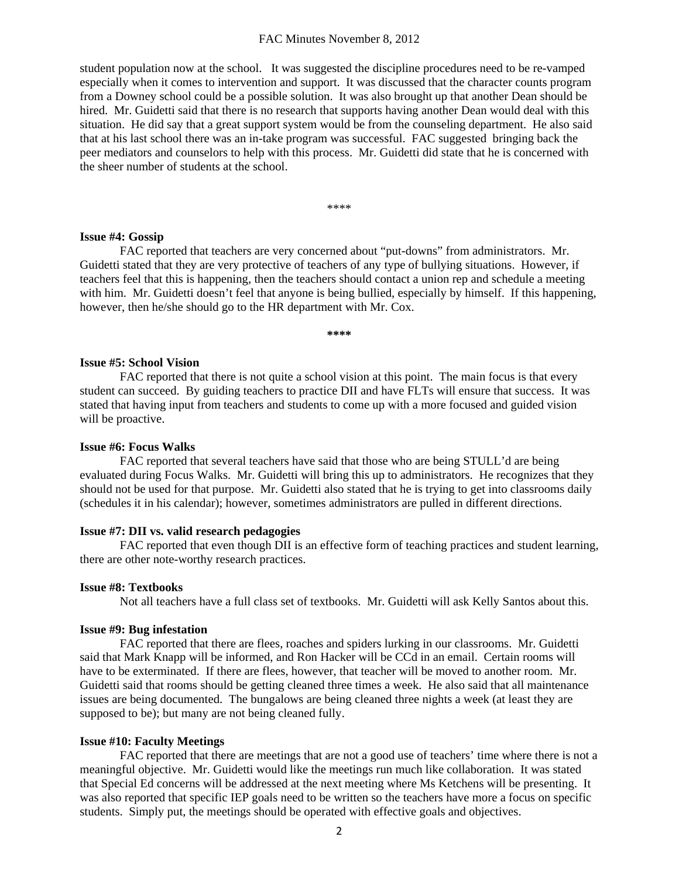#### FAC Minutes November 8, 2012

student population now at the school. It was suggested the discipline procedures need to be re-vamped especially when it comes to intervention and support. It was discussed that the character counts program from a Downey school could be a possible solution. It was also brought up that another Dean should be hired. Mr. Guidetti said that there is no research that supports having another Dean would deal with this situation. He did say that a great support system would be from the counseling department. He also said that at his last school there was an in-take program was successful. FAC suggested bringing back the peer mediators and counselors to help with this process. Mr. Guidetti did state that he is concerned with the sheer number of students at the school.

\*\*\*\*

#### **Issue #4: Gossip**

 FAC reported that teachers are very concerned about "put-downs" from administrators. Mr. Guidetti stated that they are very protective of teachers of any type of bullying situations. However, if teachers feel that this is happening, then the teachers should contact a union rep and schedule a meeting with him. Mr. Guidetti doesn't feel that anyone is being bullied, especially by himself. If this happening, however, then he/she should go to the HR department with Mr. Cox.

**\*\*\*\*** 

### **Issue #5: School Vision**

 FAC reported that there is not quite a school vision at this point. The main focus is that every student can succeed. By guiding teachers to practice DII and have FLTs will ensure that success. It was stated that having input from teachers and students to come up with a more focused and guided vision will be proactive.

#### **Issue #6: Focus Walks**

 FAC reported that several teachers have said that those who are being STULL'd are being evaluated during Focus Walks. Mr. Guidetti will bring this up to administrators. He recognizes that they should not be used for that purpose. Mr. Guidetti also stated that he is trying to get into classrooms daily (schedules it in his calendar); however, sometimes administrators are pulled in different directions.

#### **Issue #7: DII vs. valid research pedagogies**

 FAC reported that even though DII is an effective form of teaching practices and student learning, there are other note-worthy research practices.

#### **Issue #8: Textbooks**

Not all teachers have a full class set of textbooks. Mr. Guidetti will ask Kelly Santos about this.

#### **Issue #9: Bug infestation**

 FAC reported that there are flees, roaches and spiders lurking in our classrooms. Mr. Guidetti said that Mark Knapp will be informed, and Ron Hacker will be CCd in an email. Certain rooms will have to be exterminated. If there are flees, however, that teacher will be moved to another room. Mr. Guidetti said that rooms should be getting cleaned three times a week. He also said that all maintenance issues are being documented. The bungalows are being cleaned three nights a week (at least they are supposed to be); but many are not being cleaned fully.

#### **Issue #10: Faculty Meetings**

 FAC reported that there are meetings that are not a good use of teachers' time where there is not a meaningful objective. Mr. Guidetti would like the meetings run much like collaboration. It was stated that Special Ed concerns will be addressed at the next meeting where Ms Ketchens will be presenting. It was also reported that specific IEP goals need to be written so the teachers have more a focus on specific students. Simply put, the meetings should be operated with effective goals and objectives.